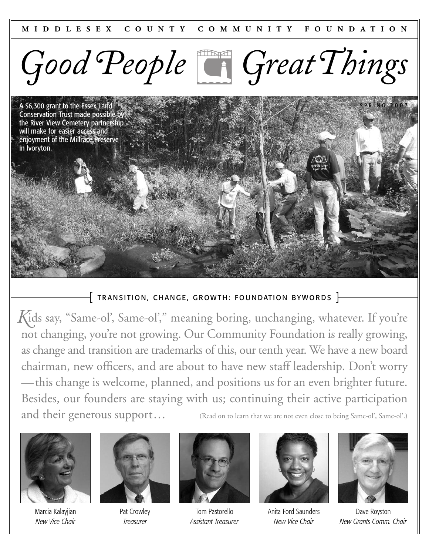

A \$6,300 grant to the Essex Land Conservation Trust made possible by the River View Cemetery partnership will make for easier access and enjoyment of the Millrace Preserve in Ivoryton.

# $\{$  TRANSITION, CHANGE, GROWTH: FOUNDATION BYWORDS  $\}$

*K* ids say, "Same-ol', Same-ol'," meaning boring, unchanging, whatever. If you're not changing, you're not growing. Our Community Foundation is really growing, as change and transition are trademarks of this, our tenth year. We have a new board chairman, new officers, and are about to have new staff leadership. Don't worry —this change is welcome, planned, and positions us for an even brighter future. Besides, our founders are staying with us; continuing their active participation and their generous support... (Read on to learn that we are not even close to being Same-ol', Same-ol'.)



Marcia Kalayjian *New Vice Chair*



Pat Crowley *Treasurer*



Tom Pastorello *Assistant Treasurer*



Anita Ford Saunders *New Vice Chair*



**PRING 2007** 

Dave Royston *New Grants Comm. Chair*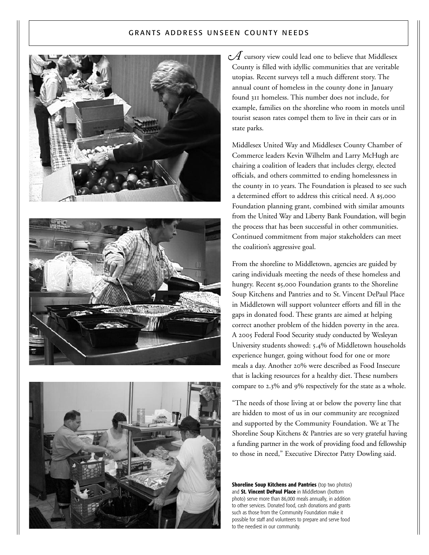## G RANTS ADDRESS UNSEEN COUNTY NEEDS







*A* cursory view could lead one to believe that Middlesex County is filled with idyllic communities that are veritable utopias. Recent surveys tell a much different story. The annual count of homeless in the county done in January found 311 homeless. This number does not include, for example, families on the shoreline who room in motels until tourist season rates compel them to live in their cars or in state parks.

Middlesex United Way and Middlesex County Chamber of Commerce leaders Kevin Wilhelm and Larry McHugh are chairing a coalition of leaders that includes clergy, elected officials, and others committed to ending homelessness in the county in 10 years. The Foundation is pleased to see such a determined effort to address this critical need. A \$5,000 Foundation planning grant, combined with similar amounts from the United Way and Liberty Bank Foundation, will begin the process that has been successful in other communities. Continued commitment from major stakeholders can meet the coalition's aggressive goal.

From the shoreline to Middletown, agencies are guided by caring individuals meeting the needs of these homeless and hungry. Recent \$5,000 Foundation grants to the Shoreline Soup Kitchens and Pantries and to St. Vincent DePaul Place in Middletown will support volunteer efforts and fill in the gaps in donated food. These grants are aimed at helping correct another problem of the hidden poverty in the area. A 2005 Federal Food Security study conducted by Wesleyan University students showed: 5.4% of Middletown households experience hunger, going without food for one or more meals a day. Another 20% were described as Food Insecure that is lacking resources for a healthy diet. These numbers compare to 2.3% and 9% respectively for the state as a whole.

"The needs of those living at or below the poverty line that are hidden to most of us in our community are recognized and supported by the Community Foundation. We at The Shoreline Soup Kitchens & Pantries are so very grateful having a funding partner in the work of providing food and fellowship to those in need," Executive Director Patty Dowling said.

**Shoreline Soup Kitchens and Pantries** (top two photos) and **St. Vincent DePaul Place** in Middletown (bottom photo) serve more than 86,000 meals annually, in addition to other services. Donated food, cash donations and grants such as those from the Community Foundation make it possible for staff and volunteers to prepare and serve food to the neediest in our community.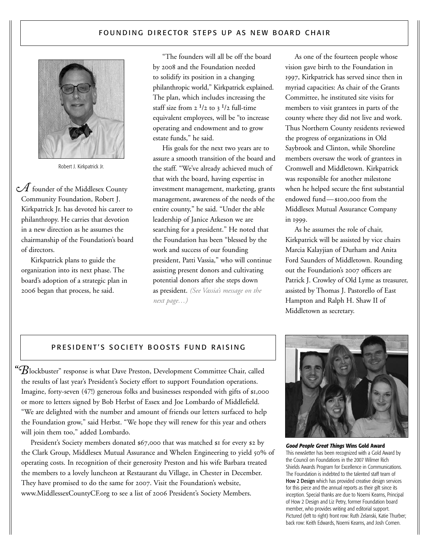# FOUNDING DIRECTOR STEPS UP AS NEW BOARD CHAIR



Robert J. Kirkpatrick Jr.

 ${\mathcal{A}}$  founder of the Middlesex County Community Foundation, Robert J. Kirkpatrick Jr. has devoted his career to philanthropy. He carries that devotion in a new direction as he assumes the chairmanship of the Foundation's board of directors.

Kirkpatrick plans to guide the organization into its next phase. The board's adoption of a strategic plan in 2006 began that process, he said.

"The founders will all be off the board by 2008 and the Foundation needed to solidify its position in a changing philanthropic world," Kirkpatrick explained. The plan, which includes increasing the staff size from  $2^{1/2}$  to  $3^{1/2}$  full-time equivalent employees, will be "to increase operating and endowment and to grow estate funds," he said.

His goals for the next two years are to assure a smooth transition of the board and the staff. "We've already achieved much of that with the board, having expertise in investment management, marketing, grants management, awareness of the needs of the entire county," he said. "Under the able leadership of Janice Atkeson we are searching for a president." He noted that the Foundation has been "blessed by the work and success of our founding president, Patti Vassia," who will continue assisting present donors and cultivating potential donors after she steps down as president. *(See Vassia's message on the next page…)*

As one of the fourteen people whose vision gave birth to the Foundation in 1997, Kirkpatrick has served since then in myriad capacities: As chair of the Grants Committee, he instituted site visits for members to visit grantees in parts of the county where they did not live and work. Thus Northern County residents reviewed the progress of organizations in Old Saybrook and Clinton, while Shoreline members oversaw the work of grantees in Cromwell and Middletown. Kirkpatrick was responsible for another milestone when he helped secure the first substantial endowed fund—\$100,000 from the Middlesex Mutual Assurance Company in 1999.

As he assumes the role of chair, Kirkpatrick will be assisted by vice chairs Marcia Kalayjian of Durham and Anita Ford Saunders of Middletown. Rounding out the Foundation's 2007 officers are Patrick J. Crowley of Old Lyme as treasurer, assisted by Thomas J. Pastorello of East Hampton and Ralph H. Shaw II of Middletown as secretary.

# PRESIDENT'S SOCIETY BOOSTS FUND RAISING

 $\mathrm{``} \mathcal{B}$ lockbuster" response is what Dave Preston, Development Committee Chair, called the results of last year's President's Society effort to support Foundation operations. Imagine, forty-seven (47!) generous folks and businesses responded with gifts of \$1,000 or more to letters signed by Bob Herbst of Essex and Joe Lombardo of Middlefield. "We are delighted with the number and amount of friends our letters surfaced to help the Foundation grow," said Herbst. "We hope they will renew for this year and others will join them too," added Lombardo.

President's Society members donated \$67,000 that was matched \$1 for every \$2 by the Clark Group, Middlesex Mutual Assurance and Whelen Engineering to yield 50% of operating costs. In recognition of their generosity Preston and his wife Barbara treated the members to a lovely luncheon at Restaurant du Village, in Chester in December. They have promised to do the same for 2007. Visit the Foundation's website, www.MiddlessexCountyCF.org to see a list of 2006 President's Society Members.



*Good People Great Things* **Wins Gold Award** This newsletter has been recognized with a Gold Award by the Council on Foundations in the 2007 Wilmer Rich Shields Awards Program for Excellence in Communications. The Foundation is indebted to the talented staff team of How 2 Design which has provided creative design services for this piece and the annual reports as their gift since its inception. Special thanks are due to Noemi Kearns, Principal of How 2 Design and Liz Petry, former Foundation board member, who provides writing and editorial support. Pictured (left to right) front row: Ruth Zelanski, Katie Thurber; back row: Keith Edwards, Noemi Kearns, and Josh Comen.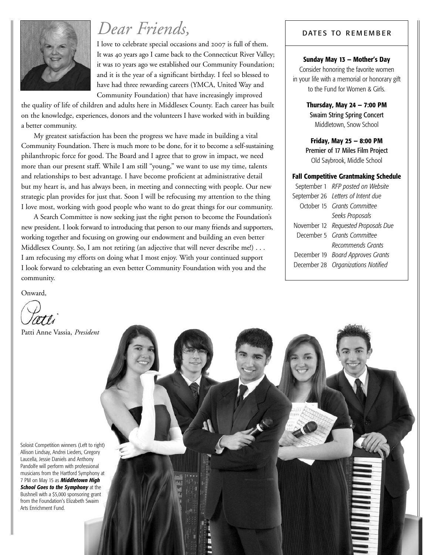

# *Dear Friends,* Physical Prince of the Bates To REMEMBER

I love to celebrate special occasions and 2007 is full of them. It was 40 years ago I came back to the Connecticut River Valley; it was 10 years ago we established our Community Foundation; and it is the year of a significant birthday. I feel so blessed to have had three rewarding careers (YMCA, United Way and Community Foundation) that have increasingly improved

the quality of life of children and adults here in Middlesex County. Each career has built on the knowledge, experiences, donors and the volunteers I have worked with in building a better community.

My greatest satisfaction has been the progress we have made in building a vital Community Foundation. There is much more to be done, for it to become a self-sustaining philanthropic force for good. The Board and I agree that to grow in impact, we need more than our present staff. While I am still "young," we want to use my time, talents and relationships to best advantage. I have become proficient at administrative detail but my heart is, and has always been, in meeting and connecting with people. Our new strategic plan provides for just that. Soon I will be refocusing my attention to the thing I love most, working with good people who want to do great things for our community.

A Search Committee is now seeking just the right person to become the Foundation's new president. I look forward to introducing that person to our many friends and supporters, working together and focusing on growing our endowment and building an even better Middlesex County. So, I am not retiring (an adjective that will never describe me!) . . . I am refocusing my efforts on doing what I most enjoy. With your continued support I look forward to celebrating an even better Community Foundation with you and the community.

Onward,

Patti Anne Vassia, *President*

Soloist Competition winners (Left to right) Allison Lindsay, Andrei Lieders, Gregory Laucella, Jessie Daniels and Anthony Pandolfe will perform with professional musicians from the Hartford Symphony at 7 PM on May 15 as *Middletown High School Goes to the Symphony* at the Bushnell with a \$5,000 sponsoring grant from the Foundation's Elizabeth Swaim Arts Enrichment Fund.

## **Sunday May 13 — Mother's Day**

Consider honoring the favorite women in your life with a memorial or honorary gift to the Fund for Women & Girls.

> **Thursday, May 24 — 7:00 PM** Swaim String Spring Concert Middletown, Snow School

**Friday, May 25 — 8:00 PM** Premier of 17 Miles Film Project Old Saybrook, Middle School

### **Fall Competitive Grantmaking Schedule**

| September 1 RFP posted on Website   |
|-------------------------------------|
| September 26 Letters of Intent due  |
| October 15 Grants Committee         |
| Seeks Proposals                     |
| November 12 Requested Proposals Due |
| December 5 Grants Committee         |
| Recommends Grants                   |
| December 19 Board Approves Grants   |
| December 28 Organizations Notified  |

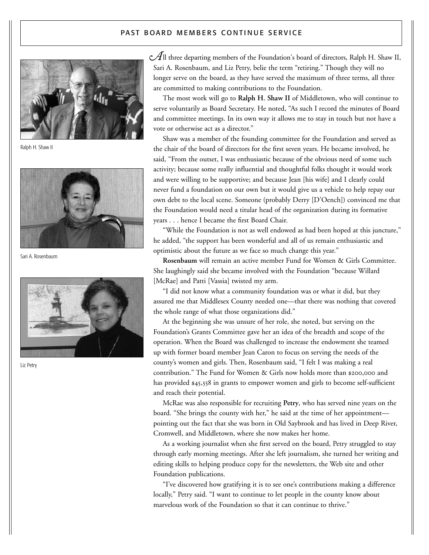## PAST BOARD MEMBERS CONTINUE SERVICE



Ralph H. Shaw II



Sari A. Rosenbaum



Liz Petry

 $\mathcal A$ ll three departing members of the Foundation's board of directors, Ralph H. Shaw II, Sari A. Rosenbaum, and Liz Petry, belie the term "retiring." Though they will no longer serve on the board, as they have served the maximum of three terms, all three are committed to making contributions to the Foundation.

The most work will go to **Ralph H. Shaw II** of Middletown, who will continue to serve voluntarily as Board Secretary. He noted, "As such I record the minutes of Board and committee meetings. In its own way it allows me to stay in touch but not have a vote or otherwise act as a director."

Shaw was a member of the founding committee for the Foundation and served as the chair of the board of directors for the first seven years. He became involved, he said, "From the outset, I was enthusiastic because of the obvious need of some such activity; because some really influential and thoughtful folks thought it would work and were willing to be supportive; and because Jean [his wife] and I clearly could never fund a foundation on our own but it would give us a vehicle to help repay our own debt to the local scene. Someone (probably Derry [D'Oench]) convinced me that the Foundation would need a titular head of the organization during its formative years . . . hence I became the first Board Chair.

"While the Foundation is not as well endowed as had been hoped at this juncture," he added, "the support has been wonderful and all of us remain enthusiastic and optimistic about the future as we face so much change this year."

**Rosenbaum** will remain an active member Fund for Women & Girls Committee. She laughingly said she became involved with the Foundation "because Willard [McRae] and Patti [Vassia] twisted my arm.

"I did not know what a community foundation was or what it did, but they assured me that Middlesex County needed one—that there was nothing that covered the whole range of what those organizations did."

At the beginning she was unsure of her role, she noted, but serving on the Foundation's Grants Committee gave her an idea of the breadth and scope of the operation. When the Board was challenged to increase the endowment she teamed up with former board member Jean Caron to focus on serving the needs of the county's women and girls. Then, Rosenbaum said, "I felt I was making a real contribution." The Fund for Women & Girls now holds more than \$200,000 and has provided \$45,558 in grants to empower women and girls to become self-sufficient and reach their potential.

McRae was also responsible for recruiting **Petry**, who has served nine years on the board. "She brings the county with her," he said at the time of her appointment pointing out the fact that she was born in Old Saybrook and has lived in Deep River, Cromwell, and Middletown, where she now makes her home.

As a working journalist when she first served on the board, Petry struggled to stay through early morning meetings. After she left journalism, she turned her writing and editing skills to helping produce copy for the newsletters, the Web site and other Foundation publications.

"I've discovered how gratifying it is to see one's contributions making a difference locally," Petry said. "I want to continue to let people in the county know about marvelous work of the Foundation so that it can continue to thrive."